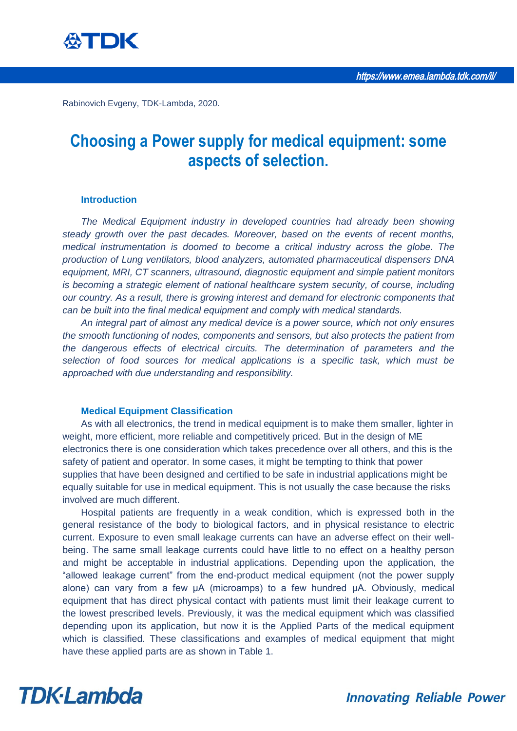

Rabinovich Evgeny, TDK-Lambda, 2020.

### **Choosing a Power supply for medical equipment: some aspects of selection.**

#### **Introduction**

*The Medical Equipment industry in developed countries had already been showing steady growth over the past decades. Moreover, based on the events of recent months, medical instrumentation is doomed to become a critical industry across the globe. The production of Lung ventilators, blood analyzers, automated pharmaceutical dispensers DNA equipment, MRI, CT scanners, ultrasound, diagnostic equipment and simple patient monitors is becoming a strategic element of national healthcare system security, of course, including our country. As a result, there is growing interest and demand for electronic components that can be built into the final medical equipment and comply with medical standards.* 

*An integral part of almost any medical device is a power source, which not only ensures the smooth functioning of nodes, components and sensors, but also protects the patient from the dangerous effects of electrical circuits. The determination of parameters and the selection of food sources for medical applications is a specific task, which must be approached with due understanding and responsibility.* 

#### **Medical Equipment Classification**

As with all electronics, the trend in medical equipment is to make them smaller, lighter in weight, more efficient, more reliable and competitively priced. But in the design of ME electronics there is one consideration which takes precedence over all others, and this is the safety of patient and operator. In some cases, it might be tempting to think that power supplies that have been designed and certified to be safe in industrial applications might be equally suitable for use in medical equipment. This is not usually the case because the risks involved are much different.

Hospital patients are frequently in a weak condition, which is expressed both in the general resistance of the body to biological factors, and in physical resistance to electric current. Exposure to even small leakage currents can have an adverse effect on their wellbeing. The same small leakage currents could have little to no effect on a healthy person and might be acceptable in industrial applications. Depending upon the application, the "allowed leakage current" from the end-product medical equipment (not the power supply alone) can vary from a few µA (microamps) to a few hundred µA. Obviously, medical equipment that has direct physical contact with patients must limit their leakage current to the lowest prescribed levels. Previously, it was the medical equipment which was classified depending upon its application, but now it is the Applied Parts of the medical equipment which is classified. These classifications and examples of medical equipment that might have these applied parts are as shown in Table 1.

### **TDK**·Lambda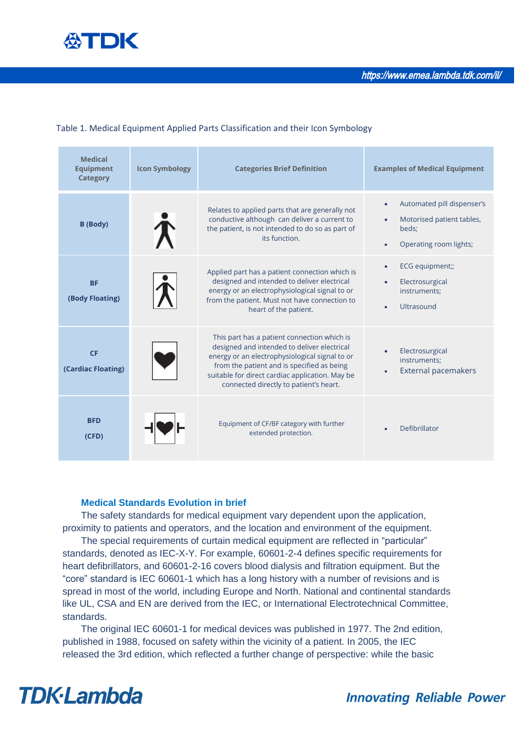

#### Table 1. Medical Equipment Applied Parts Classification and their Icon Symbology

| <b>Medical</b><br><b>Equipment</b><br><b>Category</b> | <b>Icon Symbology</b> | <b>Categories Brief Definition</b>                                                                                                                                                                                                                                                      | <b>Examples of Medical Equipment</b>                                                                                              |
|-------------------------------------------------------|-----------------------|-----------------------------------------------------------------------------------------------------------------------------------------------------------------------------------------------------------------------------------------------------------------------------------------|-----------------------------------------------------------------------------------------------------------------------------------|
| <b>B</b> (Body)                                       |                       | Relates to applied parts that are generally not<br>conductive although can deliver a current to<br>the patient, is not intended to do so as part of<br>its function.                                                                                                                    | Automated pill dispenser's<br>$\bullet$<br>Motorised patient tables,<br>$\bullet$<br>beds;<br>Operating room lights;<br>$\bullet$ |
| <b>BF</b><br>(Body Floating)                          |                       | Applied part has a patient connection which is<br>designed and intended to deliver electrical<br>energy or an electrophysiological signal to or<br>from the patient. Must not have connection to<br>heart of the patient.                                                               | ECG equipment;;<br>$\bullet$<br>Electrosurgical<br>$\bullet$<br>instruments;<br>Ultrasound<br>$\bullet$                           |
| <b>CF</b><br>(Cardiac Floating)                       |                       | This part has a patient connection which is<br>designed and intended to deliver electrical<br>energy or an electrophysiological signal to or<br>from the patient and is specified as being<br>suitable for direct cardiac application. May be<br>connected directly to patient's heart. | Electrosurgical<br>instruments:<br><b>External pacemakers</b>                                                                     |
| <b>BFD</b><br>(CFD)                                   |                       | Equipment of CF/BF category with further<br>extended protection.                                                                                                                                                                                                                        | Defibrillator                                                                                                                     |

#### **Medical Standards Evolution in brief**

The safety standards for medical equipment vary dependent upon the application, proximity to patients and operators, and the location and environment of the equipment.

The special requirements of curtain medical equipment are reflected in "particular" standards, denoted as IEC-X-Y. For example, 60601-2-4 defines specific requirements for heart defibrillators, and 60601-2-16 covers blood dialysis and filtration equipment. But the "core" standard is IEC 60601-1 which has a long history with a number of revisions and is spread in most of the world, including Europe and North. National and continental standards like UL, CSA and EN are derived from the IEC, or International Electrotechnical Committee, standards.

The original IEC 60601-1 for medical devices was published in 1977. The 2nd edition, published in 1988, focused on safety within the vicinity of a patient. In 2005, the IEC released the 3rd edition, which reflected a further change of perspective: while the basic

### **TDK**·Lambda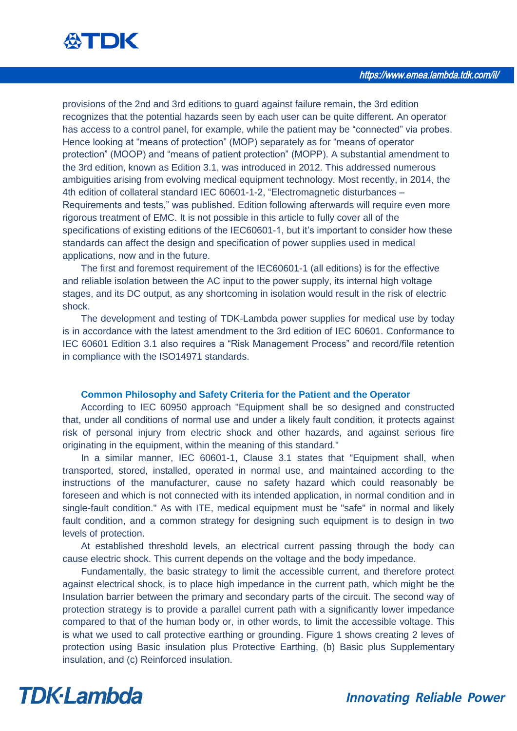

provisions of the 2nd and 3rd editions to guard against failure remain, the 3rd edition recognizes that the potential hazards seen by each user can be quite different. An operator has access to a control panel, for example, while the patient may be "connected" via probes. Hence looking at "means of protection" (MOP) separately as for "means of operator protection" (MOOP) and "means of patient protection" (MOPP). A substantial amendment to the 3rd edition, known as Edition 3.1, was introduced in 2012. This addressed numerous ambiguities arising from evolving medical equipment technology. Most recently, in 2014, the 4th edition of collateral standard IEC 60601-1-2, "Electromagnetic disturbances – Requirements and tests," was published. Edition following afterwards will require even more rigorous treatment of EMC. It is not possible in this article to fully cover all of the specifications of existing editions of the IEC60601-1, but it's important to consider how these standards can affect the design and specification of power supplies used in medical applications, now and in the future.

The first and foremost requirement of the IEC60601-1 (all editions) is for the effective and reliable isolation between the AC input to the power supply, its internal high voltage stages, and its DC output, as any shortcoming in isolation would result in the risk of electric shock.

The development and testing of TDK-Lambda power supplies for medical use by today is in accordance with the latest amendment to the 3rd edition of IEC 60601. Conformance to IEC 60601 Edition 3.1 also requires a "Risk Management Process" and record/file retention in compliance with the ISO14971 standards.

#### **Common Philosophy and Safety Criteria for the Patient and the Operator**

According to IEC 60950 approach "Equipment shall be so designed and constructed that, under all conditions of normal use and under a likely fault condition, it protects against risk of personal injury from electric shock and other hazards, and against serious fire originating in the equipment, within the meaning of this standard."

In a similar manner, IEC 60601-1, Clause 3.1 states that "Equipment shall, when transported, stored, installed, operated in normal use, and maintained according to the instructions of the manufacturer, cause no safety hazard which could reasonably be foreseen and which is not connected with its intended application, in normal condition and in single-fault condition." As with ITE, medical equipment must be "safe" in normal and likely fault condition, and a common strategy for designing such equipment is to design in two levels of protection.

At established threshold levels, an electrical current passing through the body can cause electric shock. This current depends on the voltage and the body impedance.

Fundamentally, the basic strategy to limit the accessible current, and therefore protect against electrical shock, is to place high impedance in the current path, which might be the Insulation barrier between the primary and secondary parts of the circuit. The second way of protection strategy is to provide a parallel current path with a significantly lower impedance compared to that of the human body or, in other words, to limit the accessible voltage. This is what we used to call protective earthing or grounding. Figure 1 shows creating 2 leves of protection using Basic insulation plus Protective Earthing, (b) Basic plus Supplementary insulation, and (c) Reinforced insulation.

### **TDK**·Lambda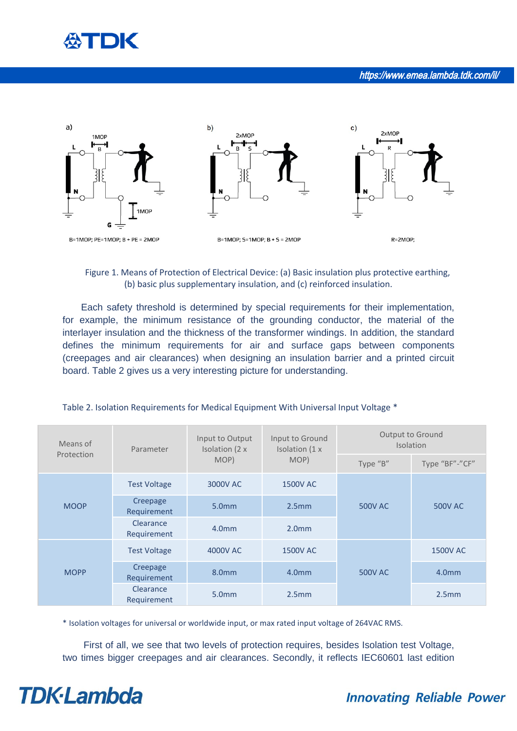



#### Figure 1. Means of Protection of Electrical Device: (a) Basic insulation plus protective earthing, (b) basic plus supplementary insulation, and (c) reinforced insulation.

Each safety threshold is determined by special requirements for their implementation, for example, the minimum resistance of the grounding conductor, the material of the interlayer insulation and the thickness of the transformer windings. In addition, the standard defines the minimum requirements for air and surface gaps between components (creepages and air clearances) when designing an insulation barrier and a printed circuit board. Table 2 gives us a very interesting picture for understanding.

| Means of<br>Protection | Parameter                | Input to Output<br>Isolation (2 x<br>MOP) | Input to Ground<br>Isolation (1 x<br>MOP) | Output to Ground<br><b>Isolation</b> |                   |
|------------------------|--------------------------|-------------------------------------------|-------------------------------------------|--------------------------------------|-------------------|
|                        |                          |                                           |                                           | Type "B"                             | Type "BF"-"CF"    |
| <b>MOOP</b>            | <b>Test Voltage</b>      | 3000V AC                                  | <b>1500V AC</b>                           |                                      | <b>500V AC</b>    |
|                        | Creepage<br>Requirement  | 5.0 <sub>mm</sub>                         | 2.5 <sub>mm</sub>                         | <b>500V AC</b>                       |                   |
|                        | Clearance<br>Requirement | 4.0 <sub>mm</sub>                         | 2.0 <sub>mm</sub>                         |                                      |                   |
| <b>MOPP</b>            | <b>Test Voltage</b>      | 4000V AC                                  | <b>1500V AC</b>                           |                                      | <b>1500V AC</b>   |
|                        | Creepage<br>Requirement  | 8.0 <sub>mm</sub>                         | 4.0 <sub>mm</sub>                         | <b>500V AC</b>                       | 4.0 <sub>mm</sub> |
|                        | Clearance<br>Requirement | 5.0 <sub>mm</sub>                         | 2.5mm                                     |                                      | 2.5mm             |

#### Table 2. Isolation Requirements for Medical Equipment With Universal Input Voltage \*

\* Isolation voltages for universal or worldwide input, or max rated input voltage of 264VAC RMS.

 First of all, we see that two levels of protection requires, besides Isolation test Voltage, two times bigger creepages and air clearances. Secondly, it reflects IEC60601 last edition

# **TDK**·Lambda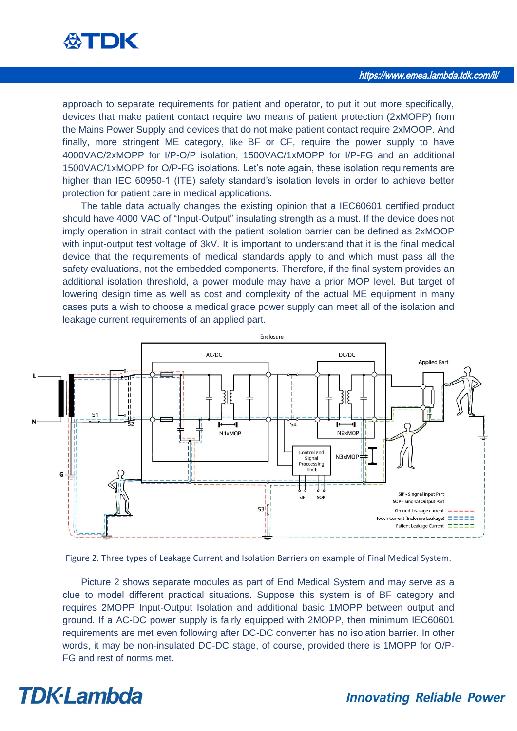

approach to separate requirements for patient and operator, to put it out more specifically, devices that make patient contact require two means of patient protection (2xMOPP) from the Mains Power Supply and devices that do not make patient contact require 2xMOOP. And finally, more stringent ME category, like BF or CF, require the power supply to have 4000VAC/2xMOPP for I/P-O/P isolation, 1500VAC/1xMOPP for I/P-FG and an additional 1500VAC/1xMOPP for O/P-FG isolations. Let's note again, these isolation requirements are higher than IEC 60950-1 (ITE) safety standard's isolation levels in order to achieve better protection for patient care in medical applications.

The table data actually changes the existing opinion that a IEC60601 certified product should have 4000 VAC of "Input-Output" insulating strength as a must. If the device does not imply operation in strait contact with the patient isolation barrier can be defined as 2xMOOP with input-output test voltage of 3kV. It is important to understand that it is the final medical device that the requirements of medical standards apply to and which must pass all the safety evaluations, not the embedded components. Therefore, if the final system provides an additional isolation threshold, a power module may have a prior MOP level. But target of lowering design time as well as cost and complexity of the actual ME equipment in many cases puts a wish to choose a medical grade power supply can meet all of the isolation and leakage current requirements of an applied part.



Figure 2. Three types of Leakage Current and Isolation Barriers on example of Final Medical System.

Picture 2 shows separate modules as part of End Medical System and may serve as a clue to model different practical situations. Suppose this system is of BF category and requires 2MOPP Input-Output Isolation and additional basic 1MOPP between output and ground. If a AC-DC power supply is fairly equipped with 2MOPP, then minimum IEC60601 requirements are met even following after DC-DC converter has no isolation barrier. In other words, it may be non-insulated DC-DC stage, of course, provided there is 1MOPP for O/P-FG and rest of norms met.

### **TDK**·Lambda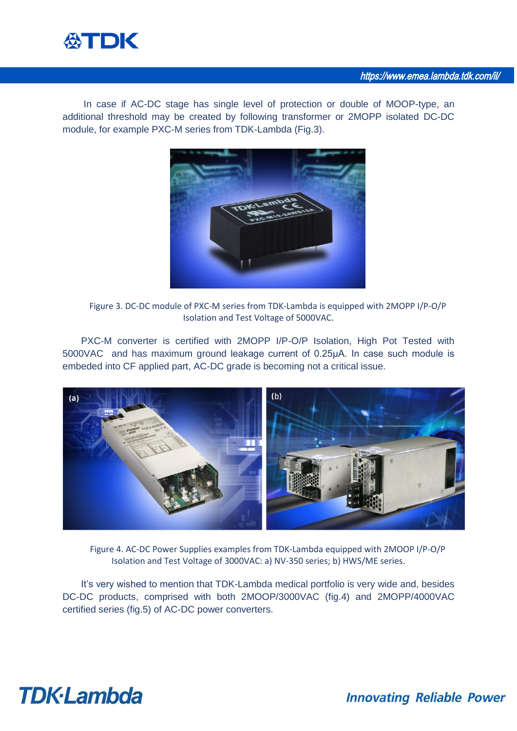

 In case if AC-DC stage has single level of protection or double of MOOP-type, an additional threshold may be created by following transformer or 2MOPP isolated DC-DC module, for example PXC-M series from TDK-Lambda (Fig.3).



Figure 3. DC-DC module of PXC-M series from TDK-Lambda is equipped with 2MOPP I/P-O/P Isolation and Test Voltage of 5000VAC.

PXC-M converter is certified with 2MOPP I/P-O/P Isolation, High Pot Tested with 5000VAC and has maximum ground leakage current of 0.25µА. In case such module is embeded into CF applied part, AC-DC grade is becoming not a critical issue.



Figure 4. AC-DC Power Supplies examples from TDK-Lambda equipped with 2MOOP I/P-O/P Isolation and Test Voltage of 3000VAC: а) NV-350 series; b) HWS/ME series.

It's very wished to mention that TDK-Lambda medical portfolio is very wide and, besides DC-DC products, comprised with both 2MOOP/3000VAC (fig.4) and 2MOPP/4000VAC certified series (fig.5) of AC-DC power converters.

## **TDK**·Lambda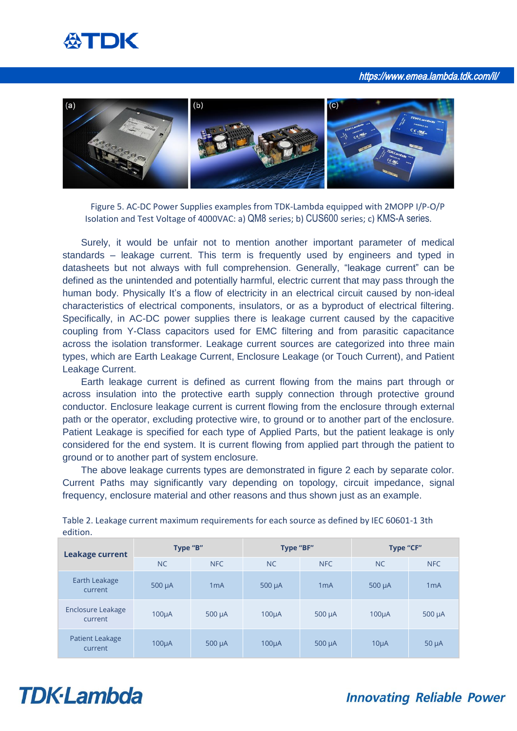### 公TDK

https://www.emea.lambda.tdk.com/il/



Figure 5. AC-DC Power Supplies examples from TDK-Lambda equipped with 2MOPP I/P-O/P Isolation and Test Voltage of 4000VAC: а) QM8 series; b) CUS600 series; c) KMS-A series.

Surely, it would be unfair not to mention another important parameter of medical standards – leakage current. This term is frequently used by engineers and typed in datasheets but not always with full comprehension. Generally, "leakage current" can be defined as the unintended and potentially harmful, electric current that may pass through the human body. Physically It's a flow of electricity in an electrical circuit caused by non-ideal characteristics of electrical components, insulators, or as a byproduct of electrical filtering. Specifically, in AC-DC power supplies there is leakage current caused by the capacitive coupling from Y-Class capacitors used for EMC filtering and from parasitic capacitance across the isolation transformer. Leakage current sources are categorized into three main types, which are Earth Leakage Current, Enclosure Leakage (or Touch Current), and Patient Leakage Current.

Earth leakage current is defined as current flowing from the mains part through or across insulation into the protective earth supply connection through protective ground conductor. Enclosure leakage current is current flowing from the enclosure through external path or the operator, excluding protective wire, to ground or to another part of the enclosure. Patient Leakage is specified for each type of Applied Parts, but the patient leakage is only considered for the end system. It is current flowing from applied part through the patient to ground or to another part of system enclosure.

The above leakage currents types are demonstrated in figure 2 each by separate color. Current Paths may significantly vary depending on topology, circuit impedance, signal frequency, enclosure material and other reasons and thus shown just as an example.

| <b>Leakage current</b>              | Type "B"           |                  | Type "BF"          |                  | <b>Type "CF"</b>   |             |
|-------------------------------------|--------------------|------------------|--------------------|------------------|--------------------|-------------|
|                                     | <b>NC</b>          | NFC              | <b>NC</b>          | NFC              | <b>NC</b>          | <b>NFC</b>  |
| Earth Leakage<br>current            | $500 \mu A$        | 1 <sub>m</sub> A | $500 \mu A$        | 1 <sub>m</sub> A | $500 \mu A$        | 1mA         |
| <b>Enclosure Leakage</b><br>current | 100 <sub>µ</sub> A | $500 \mu A$      | 100 <sub>µ</sub> A | $500 \mu A$      | 100 <sub>µ</sub> A | $500 \mu A$ |
| Patient Leakage<br>current          | $100\mu A$         | $500 \mu A$      | $100\mu A$         | $500 \mu A$      | $10\mu A$          | $50 \mu A$  |

Table 2. Leakage current maximum requirements for each source as defined by IEC 60601-1 3th edition.

## **TDK**·Lambda